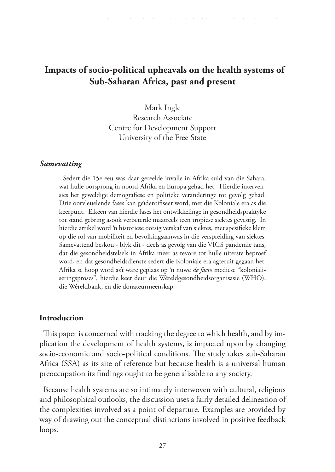# **Impacts of socio-political upheavals on the health systems of Sub-Saharan Africa, past and present**

Mark Ingle Research Associate Centre for Development Support University of the Free State

#### *Samevatting*

Sedert die 15e eeu was daar gereelde invalle in Afrika suid van die Sahara, wat hulle oorsprong in noord-Afrika en Europa gehad het. Hierdie intervensies het geweldige demografiese en politieke veranderinge tot gevolg gehad. Drie oorvleuelende fases kan geïdentifiseer word, met die Koloniale era as die keerpunt. Elkeen van hierdie fases het ontwikkelinge in gesondheidspraktyke tot stand gebring asook verbeterde maatreëls teen tropiese siektes gevestig. In hierdie artikel word 'n historiese oorsig verskaf van siektes, met spesifieke klem op die rol van mobiliteit en bevolkingsaanwas in die verspreiding van siektes. Samevattend beskou - blyk dit - deels as gevolg van die VIGS pandemie tans, dat die gesondheidstelsels in Afrika meer as tevore tot hulle uiterste beproef word, en dat gesondheidsdienste sedert die Koloniale era agteruit gegaan het. Afrika se hoop word as't ware geplaas op 'n nuwe *de facto* mediese "kolonialiseringsproses", hierdie keer deur die Wêreldgesondheidsorganisasie (WHO), die Wêreldbank, en die donateurmeenskap.

### **Introduction**

This paper is concerned with tracking the degree to which health, and by implication the development of health systems, is impacted upon by changing socio-economic and socio-political conditions. The study takes sub-Saharan Africa (SSA) as its site of reference but because health is a universal human preoccupation its findings ought to be generalisable to any society.

Because health systems are so intimately interwoven with cultural, religious and philosophical outlooks, the discussion uses a fairly detailed delineation of the complexities involved as a point of departure. Examples are provided by way of drawing out the conceptual distinctions involved in positive feedback loops.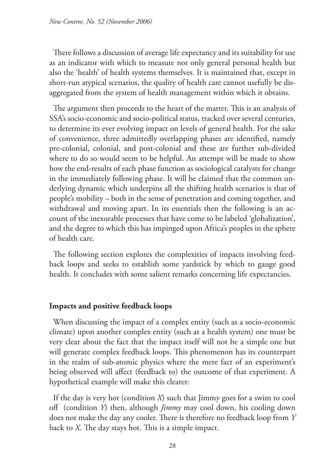There follows a discussion of average life expectancy and its suitability for use as an indicator with which to measure not only general personal health but also the 'health' of health systems themselves. It is maintained that, except in short-run atypical scenarios, the quality of health care cannot usefully be disaggregated from the system of health management within which it obtains.

The argument then proceeds to the heart of the matter. This is an analysis of SSA's socio-economic and socio-political status, tracked over several centuries, to determine its ever evolving impact on levels of general health. For the sake of convenience, three admittedly overlapping phases are identified, namely pre-colonial, colonial, and post-colonial and these are further sub-divided where to do so would seem to be helpful. An attempt will be made to show how the end-results of each phase function as sociological catalysts for change in the immediately following phase. It will be claimed that the common underlying dynamic which underpins all the shifting health scenarios is that of people's mobility – both in the sense of penetration and coming together, and withdrawal and moving apart. In its essentials then the following is an account of the inexorable processes that have come to be labeled 'globalization', and the degree to which this has impinged upon Africa's peoples in the sphere of health care.

The following section explores the complexities of impacts involving feedback loops and seeks to establish some yardstick by which to gauge good health. It concludes with some salient remarks concerning life expectancies.

### **Impacts and positive feedback loops**

When discussing the impact of a complex entity (such as a socio-economic climate) upon another complex entity (such as a health system) one must be very clear about the fact that the impact itself will not be a simple one but will generate complex feedback loops. This phenomenon has its counterpart in the realm of sub-atomic physics where the mere fact of an experiment's being observed will affect (feedback to) the outcome of that experiment. A hypothetical example will make this clearer:

If the day is very hot (condition *X*) such that Jimmy goes for a swim to cool off (condition *Y*) then, although *Jimmy* may cool down, his cooling down does not make the day any cooler. There is therefore no feedback loop from *Y* back to *X*. The day stays hot. This is a simple impact.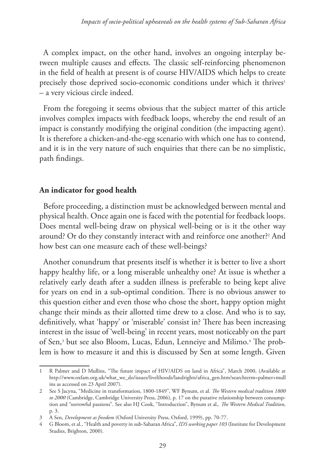A complex impact, on the other hand, involves an ongoing interplay between multiple causes and effects. The classic self-reinforcing phenomenon in the field of health at present is of course HIV/AIDS which helps to create precisely those deprived socio-economic conditions under which it thrives<sup>1</sup> – a very vicious circle indeed.

From the foregoing it seems obvious that the subject matter of this article involves complex impacts with feedback loops, whereby the end result of an impact is constantly modifying the original condition (the impacting agent). It is therefore a chicken-and-the-egg scenario with which one has to contend, and it is in the very nature of such enquiries that there can be no simplistic, path findings.

## **An indicator for good health**

Before proceeding, a distinction must be acknowledged between mental and physical health. Once again one is faced with the potential for feedback loops. Does mental well-being draw on physical well-being or is it the other way around? Or do they constantly interact with and reinforce one another?<sup>2</sup> And how best can one measure each of these well-beings?

Another conundrum that presents itself is whether it is better to live a short happy healthy life, or a long miserable unhealthy one? At issue is whether a relatively early death after a sudden illness is preferable to being kept alive for years on end in a sub-optimal condition. There is no obvious answer to this question either and even those who chose the short, happy option might change their minds as their allotted time drew to a close. And who is to say, definitively, what 'happy' or 'miserable' consist in? There has been increasing interest in the issue of 'well-being' in recent years, most noticeably on the part of Sen,<sup>3</sup> but see also Bloom, Lucas, Edun, Lenneiye and Milimo.<sup>4</sup> The problem is how to measure it and this is discussed by Sen at some length. Given

<sup>1</sup> R Palmer and D Mullins, "The future impact of HIV/AIDS on land in Africa", March 2000, (Available at http://www.oxfam.org.uk/what\_we\_do/issues/livelihoods/landrights/africa\_gen.htm?searchterm=palmer+mull ins as accessed on 23 April 2007).

<sup>2</sup> See S Jacyna, "Medicine in transformation, 1800-1849", WF Bynum, et al. *The Western medical tradition 1800*  to 2000 (Cambridge, Cambridge University Press, 2006), p. 17 on the putative relationship between consumption and "sorrowful passions". See also HJ Cook, "Introduction", Bynum et al,. *The Western Medical Tradition*, p. 3.

<sup>3</sup> A Sen, *Development as freedom* (Oxford University Press, Oxford, 1999), pp. 70-77.

<sup>4</sup> G Bloom, et al., "Health and poverty in sub-Saharan Africa", *IDS working paper 103* (Institute for Development Studies, Brighton, 2000).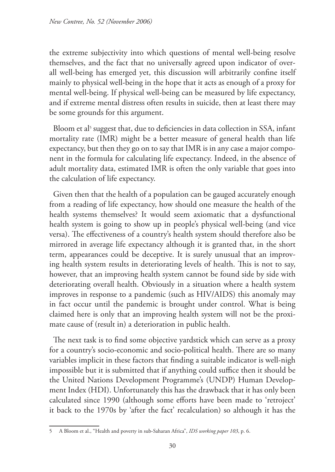the extreme subjectivity into which questions of mental well-being resolve themselves, and the fact that no universally agreed upon indicator of overall well-being has emerged yet, this discussion will arbitrarily confine itself mainly to physical well-being in the hope that it acts as enough of a proxy for mental well-being. If physical well-being can be measured by life expectancy, and if extreme mental distress often results in suicide, then at least there may be some grounds for this argument.

Bloom et al<sup>5</sup> suggest that, due to deficiencies in data collection in SSA, infant mortality rate (IMR) might be a better measure of general health than life expectancy, but then they go on to say that IMR is in any case a major component in the formula for calculating life expectancy. Indeed, in the absence of adult mortality data, estimated IMR is often the only variable that goes into the calculation of life expectancy.

Given then that the health of a population can be gauged accurately enough from a reading of life expectancy, how should one measure the health of the health systems themselves? It would seem axiomatic that a dysfunctional health system is going to show up in people's physical well-being (and vice versa). The effectiveness of a country's health system should therefore also be mirrored in average life expectancy although it is granted that, in the short term, appearances could be deceptive. It is surely unusual that an improving health system results in deteriorating levels of health. This is not to say, however, that an improving health system cannot be found side by side with deteriorating overall health. Obviously in a situation where a health system improves in response to a pandemic (such as HIV/AIDS) this anomaly may in fact occur until the pandemic is brought under control. What is being claimed here is only that an improving health system will not be the proximate cause of (result in) a deterioration in public health.

The next task is to find some objective yardstick which can serve as a proxy for a country's socio-economic and socio-political health. There are so many variables implicit in these factors that finding a suitable indicator is well-nigh impossible but it is submitted that if anything could suffice then it should be the United Nations Development Programme's (UNDP) Human Development Index (HDI). Unfortunately this has the drawback that it has only been calculated since 1990 (although some efforts have been made to 'retroject' it back to the 1970s by 'after the fact' recalculation) so although it has the

<sup>5</sup> A Bloom et al., "Health and poverty in sub-Saharan Africa", *IDS working paper 103*, p. 6.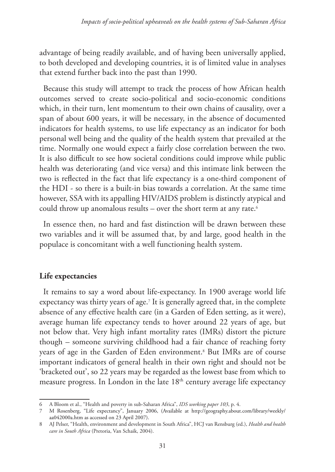advantage of being readily available, and of having been universally applied, to both developed and developing countries, it is of limited value in analyses that extend further back into the past than 1990.

Because this study will attempt to track the process of how African health outcomes served to create socio-political and socio-economic conditions which, in their turn, lent momentum to their own chains of causality, over a span of about 600 years, it will be necessary, in the absence of documented indicators for health systems, to use life expectancy as an indicator for both personal well being and the quality of the health system that prevailed at the time. Normally one would expect a fairly close correlation between the two. It is also difficult to see how societal conditions could improve while public health was deteriorating (and vice versa) and this intimate link between the two is reflected in the fact that life expectancy is a one-third component of the HDI - so there is a built-in bias towards a correlation. At the same time however, SSA with its appalling HIV/AIDS problem is distinctly atypical and could throw up anomalous results – over the short term at any rate.<sup>6</sup>

In essence then, no hard and fast distinction will be drawn between these two variables and it will be assumed that, by and large, good health in the populace is concomitant with a well functioning health system.

### **Life expectancies**

It remains to say a word about life-expectancy. In 1900 average world life expectancy was thirty years of age.7 It is generally agreed that, in the complete absence of any effective health care (in a Garden of Eden setting, as it were), average human life expectancy tends to hover around 22 years of age, but not below that. Very high infant mortality rates (IMRs) distort the picture though – someone surviving childhood had a fair chance of reaching forty years of age in the Garden of Eden environment.8 But IMRs are of course important indicators of general health in their own right and should not be 'bracketed out', so 22 years may be regarded as the lowest base from which to measure progress. In London in the late 18<sup>th</sup> century average life expectancy

<sup>6</sup> A Bloom et al., "Health and poverty in sub-Saharan Africa", *IDS working paper 103*, p. 4.

<sup>7</sup> M Rosenberg, "Life expectancy", January 2006, (Available at http://geography.about.com/library/weekly/ aa042000a.htm as accessed on 23 April 2007).

<sup>8</sup> AJ Pelser, "Health, environment and development in South Africa", HCJ van Rensburg (ed.), *Health and health care in South Africa* (Pretoria, Van Schaik, 2004).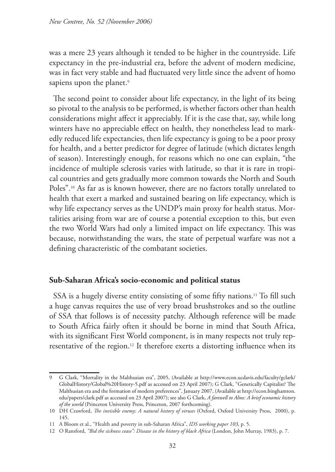was a mere 23 years although it tended to be higher in the countryside. Life expectancy in the pre-industrial era, before the advent of modern medicine, was in fact very stable and had fluctuated very little since the advent of homo sapiens upon the planet.<sup>9</sup>

The second point to consider about life expectancy, in the light of its being so pivotal to the analysis to be performed, is whether factors other than health considerations might affect it appreciably. If it is the case that, say, while long winters have no appreciable effect on health, they nonetheless lead to markedly reduced life expectancies, then life expectancy is going to be a poor proxy for health, and a better predictor for degree of latitude (which dictates length of season). Interestingly enough, for reasons which no one can explain, "the incidence of multiple sclerosis varies with latitude, so that it is rare in tropical countries and gets gradually more common towards the North and South Poles".<sup>10</sup> As far as is known however, there are no factors totally unrelated to health that exert a marked and sustained bearing on life expectancy, which is why life expectancy serves as the UNDP's main proxy for health status. Mortalities arising from war are of course a potential exception to this, but even the two World Wars had only a limited impact on life expectancy. This was because, notwithstanding the wars, the state of perpetual warfare was not a defining characteristic of the combatant societies.

### **Sub-Saharan Africa's socio-economic and political status**

SSA is a hugely diverse entity consisting of some fifty nations.<sup>11</sup> To fill such a huge canvas requires the use of very broad brushstrokes and so the outline of SSA that follows is of necessity patchy. Although reference will be made to South Africa fairly often it should be borne in mind that South Africa, with its significant First World component, is in many respects not truly representative of the region.<sup>12</sup> It therefore exerts a distorting influence when its

<sup>9</sup> G Clark, "Mortality in the Malthusian era", 2005, (Available at http://www.econ.ucdavis.edu/faculty/gclark/ GlobalHistory/Global%20History-5.pdf as accessed on 23 April 2007); G Clark, "Genetically Capitalist? The Malthusian era and the formation of modern preferences", January 2007, (Available at http://econ.binghamton. edu/papers/clark.pdf as accessed on 23 April 2007); see also G Clark, *A farewell to Alms: A brief economic history of the world* (Princeton University Press, Princeton, 2007 forthcoming).

<sup>10</sup> DH Crawford, *The invisible enemy: A natural history of viruses* (Oxford, Oxford University Press, 2000), p. 145.

<sup>11</sup> A Bloom et al., "Health and poverty in sub-Saharan Africa", *IDS working paper 103*, p. 5.

<sup>12</sup> O Ransford, *"Bid the sickness cease": Disease in the history of black Africa* (London, John Murray, 1983), p. 7.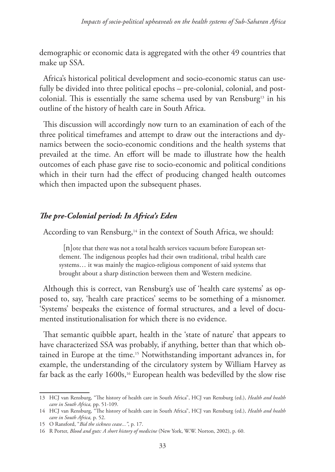demographic or economic data is aggregated with the other 49 countries that make up SSA.

Africa's historical political development and socio-economic status can usefully be divided into three political epochs – pre-colonial, colonial, and postcolonial. This is essentially the same schema used by van Rensburg13 in his outline of the history of health care in South Africa.

This discussion will accordingly now turn to an examination of each of the three political timeframes and attempt to draw out the interactions and dynamics between the socio-economic conditions and the health systems that prevailed at the time. An effort will be made to illustrate how the health outcomes of each phase gave rise to socio-economic and political conditions which in their turn had the effect of producing changed health outcomes which then impacted upon the subsequent phases.

## *The pre-Colonial period: In Africa's Eden*

According to van Rensburg,<sup>14</sup> in the context of South Africa, we should:

[n]ote that there was not a total health services vacuum before European settlement. The indigenous peoples had their own traditional, tribal health care systems… it was mainly the magico-religious component of said systems that brought about a sharp distinction between them and Western medicine.

Although this is correct, van Rensburg's use of 'health care systems' as opposed to, say, 'health care practices' seems to be something of a misnomer. 'Systems' bespeaks the existence of formal structures, and a level of documented institutionalisation for which there is no evidence.

That semantic quibble apart, health in the 'state of nature' that appears to have characterized SSA was probably, if anything, better than that which obtained in Europe at the time.15 Notwithstanding important advances in, for example, the understanding of the circulatory system by William Harvey as far back as the early 1600s,<sup>16</sup> European health was bedevilled by the slow rise

<sup>13</sup> HCJ van Rensburg, "The history of health care in South Africa", HCJ van Rensburg (ed.), *Health and health care in South Africa,* pp. 51-109.

<sup>14</sup> HCJ van Rensburg, "The history of health care in South Africa", HCJ van Rensburg (ed.), *Health and health care in South Africa,* p. 52.

<sup>15</sup> O Ransford, "*Bid the sickness cease..."*, p. 17.

<sup>16</sup> R Porter, *Blood and guts: A short history of medicine* (New York, W.W. Norton, 2002), p. 60.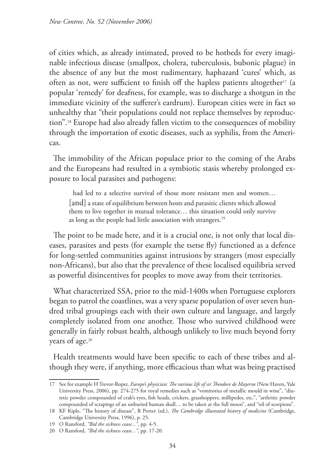of cities which, as already intimated, proved to be hotbeds for every imaginable infectious disease (smallpox, cholera, tuberculosis, bubonic plague) in the absence of any but the most rudimentary, haphazard 'cures' which, as often as not, were sufficient to finish off the hapless patients altogether<sup>17</sup> (a popular 'remedy' for deafness, for example, was to discharge a shotgun in the immediate vicinity of the sufferer's eardrum). European cities were in fact so unhealthy that "their populations could not replace themselves by reproduction".18 Europe had also already fallen victim to the consequences of mobility through the importation of exotic diseases, such as syphilis, from the Americas.

The immobility of the African populace prior to the coming of the Arabs and the Europeans had resulted in a symbiotic stasis whereby prolonged exposure to local parasites and pathogens:

had led to a selective survival of those more resistant men and women… [and] a state of equilibrium between hosts and parasitic clients which allowed them to live together in mutual tolerance… this situation could only survive as long as the people had little association with strangers.<sup>19</sup>

The point to be made here, and it is a crucial one, is not only that local diseases, parasites and pests (for example the tsetse fly) functioned as a defence for long-settled communities against intrusions by strangers (most especially non-Africans), but also that the prevalence of these localised equilibria served as powerful disincentives for peoples to move away from their territories.

What characterized SSA, prior to the mid-1400s when Portuguese explorers began to patrol the coastlines, was a very sparse population of over seven hundred tribal groupings each with their own culture and language, and largely completely isolated from one another. Those who survived childhood were generally in fairly robust health, although unlikely to live much beyond forty years of age.20

Health treatments would have been specific to each of these tribes and although they were, if anything, more efficacious than what was being practised

<sup>17</sup> See for example H Trevor-Roper, *Europe's physician: The various life of sir Theodore de Mayerne* (New Haven, Yale University Press, 2006), pp. 274-275 for royal remedies such as "vomitories of metallic mould in wine", "diuretic powder compounded of crab's eyes, fish heads, crickets, grasshoppers, millipedes, etc.", "arthritic powder compounded of scrapings of an unburied human skull… to be taken at the full moon", and "oil of scorpions".

<sup>18</sup> KF Kiple, "The history of disease", R Porter (ed.), *The Cambridge illustrated history of medicine* (Cambridge, Cambridge University Press, 1996), p. 25.

<sup>19</sup> O Ransford, *"Bid the sickness cease..."*, pp. 4-5.

<sup>20</sup> O Ransford, *"Bid the sickness cease..."*, pp. 17-20.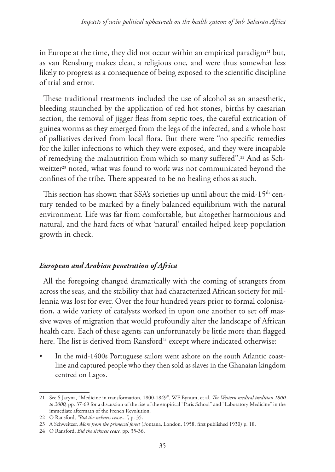in Europe at the time, they did not occur within an empirical paradigm<sup>21</sup> but, as van Rensburg makes clear, a religious one, and were thus somewhat less likely to progress as a consequence of being exposed to the scientific discipline of trial and error.

These traditional treatments included the use of alcohol as an anaesthetic, bleeding staunched by the application of red hot stones, births by caesarian section, the removal of jigger fleas from septic toes, the careful extrication of guinea worms as they emerged from the legs of the infected, and a whole host of palliatives derived from local flora. But there were "no specific remedies for the killer infections to which they were exposed, and they were incapable of remedying the malnutrition from which so many suffered".<sup>22</sup> And as Schweitzer<sup>23</sup> noted, what was found to work was not communicated beyond the confines of the tribe. There appeared to be no healing ethos as such.

This section has shown that SSA's societies up until about the mid-15<sup>th</sup> century tended to be marked by a finely balanced equilibrium with the natural environment. Life was far from comfortable, but altogether harmonious and natural, and the hard facts of what 'natural' entailed helped keep population growth in check.

### *European and Arabian penetration of Africa*

All the foregoing changed dramatically with the coming of strangers from across the seas, and the stability that had characterized African society for millennia was lost for ever. Over the four hundred years prior to formal colonisation, a wide variety of catalysts worked in upon one another to set off massive waves of migration that would profoundly alter the landscape of African health care. Each of these agents can unfortunately be little more than flagged here. The list is derived from Ransford<sup>24</sup> except where indicated otherwise:

In the mid-1400s Portuguese sailors went ashore on the south Atlantic coastline and captured people who they then sold as slaves in the Ghanaian kingdom centred on Lagos.

<sup>21</sup> See S Jacyna, "Medicine in transformation, 1800-1849", WF Bynum, et al. *The Western medical tradition 1800 to 2000,* pp. 37-69 for a discussion of the rise of the empirical "Paris School" and "Laboratory Medicine" in the immediate aftermath of the French Revolution.

<sup>22</sup> O Ransford, *"Bid the sickness cease..."*, p. 35.

<sup>23</sup> A Schweitzer, *More from the primeval forest* (Fontana, London, 1958, first published 1930) p. 18.

<sup>24</sup> O Ransford, *Bid the sickness cease,* pp. 35-36.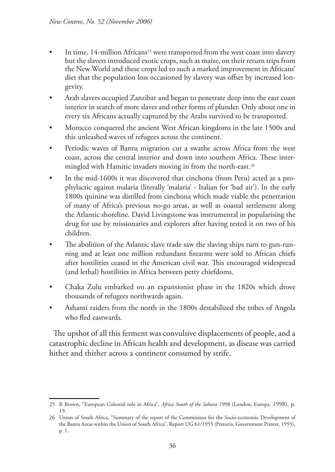- In time, 14-million Africans<sup>25</sup> were transported from the west coast into slavery but the slavers introduced exotic crops, such as maize, on their return trips from the New World and these crops led to such a marked improvement in Africans' diet that the population loss occasioned by slavery was offset by increased longevity.
- Arab slavers occupied Zanzibar and began to penetrate deep into the east coast interior in search of more slaves and other forms of plunder. Only about one in every six Africans actually captured by the Arabs survived to be transported.
- Morocco conquered the ancient West African kingdoms in the late 1500s and this unleashed waves of refugees across the continent.
- Periodic waves of Bantu migration cut a swathe across Africa from the west coast, across the central interior and down into southern Africa. These intermingled with Hamitic invaders moving in from the north-east.<sup>26</sup>
- In the mid-1600s it was discovered that cinchona (from Peru) acted as a prophylactic against malaria (literally 'malaria' - Italian for 'bad air'). In the early 1800s quinine was distilled from cinchona which made viable the penetration of many of Africa's previous no-go areas, as well as coastal settlement along the Atlantic shoreline. David Livingstone was instrumental in popularising the drug for use by missionaries and explorers after having tested it on two of his children.
- The abolition of the Atlantic slave trade saw the slaving ships turn to gun-running and at least one million redundant firearms were sold to African chiefs after hostilities ceased in the American civil war. This encouraged widespread (and lethal) hostilities in Africa between petty chiefdoms.
- Chaka Zulu embarked on an expansionist phase in the 1820s which drove thousands of refugees northwards again.
- Ashanti raiders from the north in the 1800s destabilized the tribes of Angola who fled eastwards.

The upshot of all this ferment was convulsive displacements of people, and a catastrophic decline in African health and development, as disease was carried hither and thither across a continent consumed by strife.

<sup>25</sup> R Brown, "European Colonial rule in Africa", *Africa South of the Sahara 1998* (London, Europa, 1998), p. 19.

<sup>26</sup> Union of South Africa, "Summary of the report of the Commission for the Socio-economic Development of the Bantu Areas within the Union of South Africa", Report UG 61/1955 (Pretoria, Government Printer, 1955), p. 1.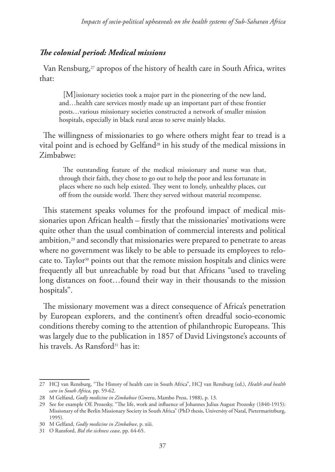#### *The colonial period: Medical missions*

Van Rensburg, $27$  apropos of the history of health care in South Africa, writes that:

[M]issionary societies took a major part in the pioneering of the new land, and…health care services mostly made up an important part of these frontier posts…various missionary societies constructed a network of smaller mission hospitals, especially in black rural areas to serve mainly blacks.

The willingness of missionaries to go where others might fear to tread is a vital point and is echoed by Gelfand<sup>28</sup> in his study of the medical missions in Zimbabwe:

The outstanding feature of the medical missionary and nurse was that, through their faith, they chose to go out to help the poor and less fortunate in places where no such help existed. They went to lonely, unhealthy places, cut off from the outside world. There they served without material recompense.

This statement speaks volumes for the profound impact of medical missionaries upon African health – firstly that the missionaries' motivations were quite other than the usual combination of commercial interests and political ambition, $29$  and secondly that missionaries were prepared to penetrate to areas where no government was likely to be able to persuade its employees to relocate to. Taylor<sup>30</sup> points out that the remote mission hospitals and clinics were frequently all but unreachable by road but that Africans "used to traveling long distances on foot…found their way in their thousands to the mission hospitals".

The missionary movement was a direct consequence of Africa's penetration by European explorers, and the continent's often dreadful socio-economic conditions thereby coming to the attention of philanthropic Europeans. This was largely due to the publication in 1857 of David Livingstone's accounts of his travels. As Ransford<sup>31</sup> has it:

<sup>27</sup> HCJ van Rensburg, "The History of health care in South Africa", HCJ van Rensburg (ed.), *Health and health care in South Africa,* pp. 59-62.

<sup>28</sup> M Gelfand, *Godly medicine in Zimbabwe* (Gweru, Mambo Press, 1988), p. 13.

<sup>29</sup> See for example OE Prozesky, "The life, work and influence of Johannes Julius August Prozesky (1840-1915): Missionary of the Berlin Missionary Society in South Africa" (PhD thesis, University of Natal, Pietermaritzburg, 1995).

<sup>30</sup> M Gelfand, *Godly medicine in Zimbabwe*, p. xiii.

<sup>31</sup> O Ransford, *Bid the sickness cease*, pp. 64-65.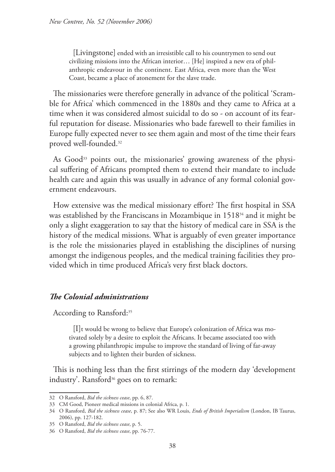[Livingstone] ended with an irresistible call to his countrymen to send out civilizing missions into the African interior… [He] inspired a new era of philanthropic endeavour in the continent. East Africa, even more than the West Coast, became a place of atonement for the slave trade.

The missionaries were therefore generally in advance of the political 'Scramble for Africa' which commenced in the 1880s and they came to Africa at a time when it was considered almost suicidal to do so - on account of its fearful reputation for disease. Missionaries who bade farewell to their families in Europe fully expected never to see them again and most of the time their fears proved well-founded.32

As  $Good<sup>33</sup>$  points out, the missionaries' growing awareness of the physical suffering of Africans prompted them to extend their mandate to include health care and again this was usually in advance of any formal colonial government endeavours.

How extensive was the medical missionary effort? The first hospital in SSA was established by the Franciscans in Mozambique in 1518<sup>34</sup> and it might be only a slight exaggeration to say that the history of medical care in SSA is the history of the medical missions. What is arguably of even greater importance is the role the missionaries played in establishing the disciplines of nursing amongst the indigenous peoples, and the medical training facilities they provided which in time produced Africa's very first black doctors.

### *The Colonial administrations*

According to Ransford:<sup>35</sup>

[I]t would be wrong to believe that Europe's colonization of Africa was motivated solely by a desire to exploit the Africans. It became associated too with a growing philanthropic impulse to improve the standard of living of far-away subjects and to lighten their burden of sickness.

This is nothing less than the first stirrings of the modern day 'development industry'. Ransford<sup>36</sup> goes on to remark:

<sup>32</sup> O Ransford, *Bid the sickness cease*, pp. 6, 87.

<sup>33</sup> CM Good, Pioneer medical missions in colonial Africa, p. 1.

<sup>34</sup> O Ransford, *Bid the sickness cease*, p. 87; See also WR Louis, *Ends of British Imperialism* (London, IB Taurus, 2006), pp. 127-182.

<sup>35</sup> O Ransford, *Bid the sickness cease*, p. 5.

<sup>36</sup> O Ransford, *Bid the sickness cease*, pp. 76-77.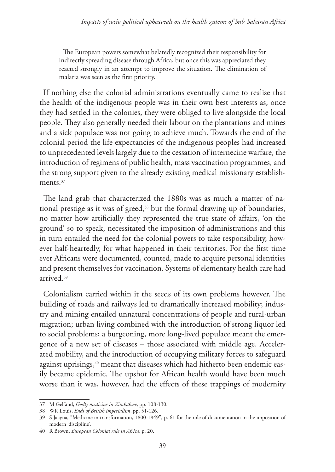The European powers somewhat belatedly recognized their responsibility for indirectly spreading disease through Africa, but once this was appreciated they reacted strongly in an attempt to improve the situation. The elimination of malaria was seen as the first priority.

If nothing else the colonial administrations eventually came to realise that the health of the indigenous people was in their own best interests as, once they had settled in the colonies, they were obliged to live alongside the local people. They also generally needed their labour on the plantations and mines and a sick populace was not going to achieve much. Towards the end of the colonial period the life expectancies of the indigenous peoples had increased to unprecedented levels largely due to the cessation of internecine warfare, the introduction of regimens of public health, mass vaccination programmes, and the strong support given to the already existing medical missionary establishments.<sup>37</sup>

The land grab that characterized the 1880s was as much a matter of national prestige as it was of greed,<sup>38</sup> but the formal drawing up of boundaries, no matter how artificially they represented the true state of affairs, 'on the ground' so to speak, necessitated the imposition of administrations and this in turn entailed the need for the colonial powers to take responsibility, however half-heartedly, for what happened in their territories. For the first time ever Africans were documented, counted, made to acquire personal identities and present themselves for vaccination. Systems of elementary health care had arrived.39

Colonialism carried within it the seeds of its own problems however. The building of roads and railways led to dramatically increased mobility; industry and mining entailed unnatural concentrations of people and rural-urban migration; urban living combined with the introduction of strong liquor led to social problems; a burgeoning, more long-lived populace meant the emergence of a new set of diseases – those associated with middle age. Accelerated mobility, and the introduction of occupying military forces to safeguard against uprisings,<sup>40</sup> meant that diseases which had hitherto been endemic easily became epidemic. The upshot for African health would have been much worse than it was, however, had the effects of these trappings of modernity

<sup>37</sup> M Gelfand, *Godly medicine in Zimbabwe*, pp. 108-130.

<sup>38</sup> WR Louis, *Ends of British imperialism*, pp. 51-126.

<sup>39</sup> S Jacyna, "Medicine in transformation, 1800-1849", p. 61 for the role of documentation in the imposition of modern 'discipline'.

<sup>40</sup> R Brown, *European Colonial rule in Africa*, p. 20.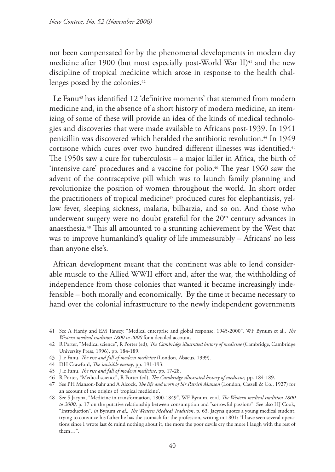not been compensated for by the phenomenal developments in modern day medicine after 1900 (but most especially post-World War II)<sup>41</sup> and the new discipline of tropical medicine which arose in response to the health challenges posed by the colonies.<sup>42</sup>

Le Fanu43 has identified 12 'definitive moments' that stemmed from modern medicine and, in the absence of a short history of modern medicine, an itemizing of some of these will provide an idea of the kinds of medical technologies and discoveries that were made available to Africans post-1939. In 1941 penicillin was discovered which heralded the antibiotic revolution.<sup>44</sup> In 1949 cortisone which cures over two hundred different illnesses was identified.45 The 1950s saw a cure for tuberculosis – a major killer in Africa, the birth of 'intensive care' procedures and a vaccine for polio.46 The year 1960 saw the advent of the contraceptive pill which was to launch family planning and revolutionize the position of women throughout the world. In short order the practitioners of tropical medicine<sup>47</sup> produced cures for elephantiasis, yellow fever, sleeping sickness, malaria, bilharzia, and so on. And those who underwent surgery were no doubt grateful for the  $20<sup>th</sup>$  century advances in anaesthesia.48 This all amounted to a stunning achievement by the West that was to improve humankind's quality of life immeasurably – Africans' no less than anyone else's.

African development meant that the continent was able to lend considerable muscle to the Allied WWII effort and, after the war, the withholding of independence from those colonies that wanted it became increasingly indefensible – both morally and economically. By the time it became necessary to hand over the colonial infrastructure to the newly independent governments

<sup>41</sup> See A Hardy and EM Tansey, "Medical enterprise and global response, 1945-2000", WF Bynum et al., *The Western medical tradition 1800 to 2000* for a detailed account.

<sup>42</sup> R Porter, "Medical science", R Porter (ed), *The Cambridge illustrated history of medicine* (Cambridge, Cambridge University Press, 1996), pp. 184-189.

<sup>43</sup> J le Fanu, *The rise and fall of modern medicine* (London, Abacus, 1999).

<sup>44</sup> DH Crawford, *The invisible enemy*, pp. 191-193.

<sup>45</sup> J le Fanu, *The rise and fall of modern medicine*, pp. 17-28.

<sup>46</sup> R Porter, "Medical science", R Porter (ed), *The Cambridge illustrated history of medicine,* pp. 184-189.

<sup>47</sup> See PH Manson-Bahr and A Alcock, *The life and work of Sir Patrick Manson* (London, Cassell & Co., 1927) for an account of the origins of 'tropical medicine'.

<sup>48</sup> See S Jacyna, "Medicine in transformation, 1800-1849", WF Bynum, et al. *The Western medical tradition 1800 to 2000*, p. 17 on the putative relationship between consumption and "sorrowful passions". See also HJ Cook, "Introduction", *in* Bynum *et al*,*. The Western Medical Tradition*, p. 63. Jacyna quotes a young medical student, trying to convince his father he has the stomach for the profession, writing in 1801: "I have seen several operations since I wrote last & mind nothing about it, the more the poor devils cry the more I laugh with the rest of them…".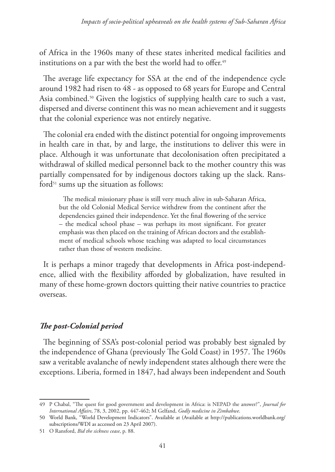of Africa in the 1960s many of these states inherited medical facilities and institutions on a par with the best the world had to offer.<sup>49</sup>

The average life expectancy for SSA at the end of the independence cycle around 1982 had risen to 48 - as opposed to 68 years for Europe and Central Asia combined.<sup>50</sup> Given the logistics of supplying health care to such a vast, dispersed and diverse continent this was no mean achievement and it suggests that the colonial experience was not entirely negative.

The colonial era ended with the distinct potential for ongoing improvements in health care in that, by and large, the institutions to deliver this were in place. Although it was unfortunate that decolonisation often precipitated a withdrawal of skilled medical personnel back to the mother country this was partially compensated for by indigenous doctors taking up the slack. Ransford $51$  sums up the situation as follows:

The medical missionary phase is still very much alive in sub-Saharan Africa, but the old Colonial Medical Service withdrew from the continent after the dependencies gained their independence. Yet the final flowering of the service – the medical school phase – was perhaps its most significant. For greater emphasis was then placed on the training of African doctors and the establishment of medical schools whose teaching was adapted to local circumstances rather than those of western medicine.

It is perhaps a minor tragedy that developments in Africa post-independence, allied with the flexibility afforded by globalization, have resulted in many of these home-grown doctors quitting their native countries to practice overseas.

## *The post-Colonial period*

The beginning of SSA's post-colonial period was probably best signaled by the independence of Ghana (previously The Gold Coast) in 1957. The 1960s saw a veritable avalanche of newly independent states although there were the exceptions. Liberia, formed in 1847, had always been independent and South

<sup>49</sup> P Chabal, "The quest for good government and development in Africa: is NEPAD the answer?", *Journal for International Affairs*, 78, 3, 2002, pp. 447-462; M Gelfand, *Godly medicine in Zimbabwe*.

<sup>50</sup> World Bank, "World Development Indicators". Available at (Available at http://publications.worldbank.org/ subscriptions/WDI as accessed on 23 April 2007).

<sup>51</sup> O Ransford, *Bid the sickness cease*, p. 88.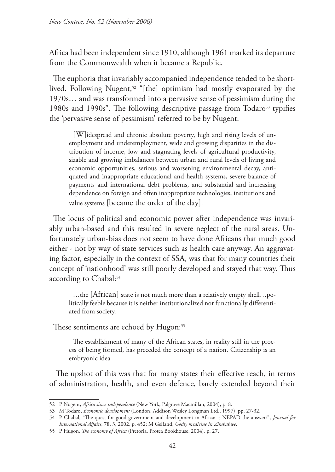Africa had been independent since 1910, although 1961 marked its departure from the Commonwealth when it became a Republic.

The euphoria that invariably accompanied independence tended to be shortlived. Following Nugent,<sup>52</sup> "[the] optimism had mostly evaporated by the 1970s… and was transformed into a pervasive sense of pessimism during the 1980s and 1990s". The following descriptive passage from Todaro<sup>53</sup> typifies the 'pervasive sense of pessimism' referred to be by Nugent:

[W]idespread and chronic absolute poverty, high and rising levels of unemployment and underemployment, wide and growing disparities in the distribution of income, low and stagnating levels of agricultural productivity, sizable and growing imbalances between urban and rural levels of living and economic opportunities, serious and worsening environmental decay, antiquated and inappropriate educational and health systems, severe balance of payments and international debt problems, and substantial and increasing dependence on foreign and often inappropriate technologies, institutions and value systems [became the order of the day].

The locus of political and economic power after independence was invariably urban-based and this resulted in severe neglect of the rural areas. Unfortunately urban-bias does not seem to have done Africans that much good either - not by way of state services such as health care anyway. An aggravating factor, especially in the context of SSA, was that for many countries their concept of 'nationhood' was still poorly developed and stayed that way. Thus according to Chabal:<sup>54</sup>

…the [African] state is not much more than a relatively empty shell…politically feeble because it is neither institutionalized nor functionally differentiated from society.

These sentiments are echoed by Hugon:<sup>55</sup>

The establishment of many of the African states, in reality still in the process of being formed, has preceded the concept of a nation. Citizenship is an embryonic idea.

 The upshot of this was that for many states their effective reach, in terms of administration, health, and even defence, barely extended beyond their

<sup>52</sup> P Nugent, *Africa since independence* (New York, Palgrave Macmillan, 2004), p. 8.

<sup>53</sup> M Todaro, *Economic development* (London, Addison Wesley Longman Ltd., 1997), pp. 27-32.

<sup>54</sup> P Chabal, "The quest for good government and development in Africa: is NEPAD the answer?", *Journal for International Affairs*, 78, 3, 2002, p. 452; M Gelfand, *Godly medicine in Zimbabwe*.

<sup>55</sup> P Hugon, *The economy of Africa* (Pretoria, Protea Bookhouse, 2004), p. 27.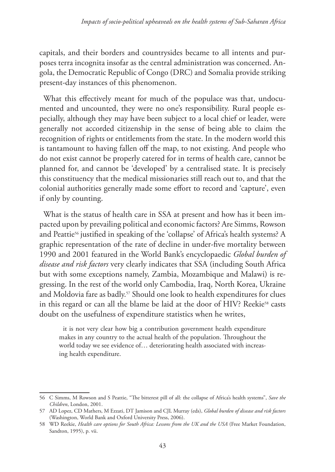capitals, and their borders and countrysides became to all intents and purposes terra incognita insofar as the central administration was concerned. Angola, the Democratic Republic of Congo (DRC) and Somalia provide striking present-day instances of this phenomenon.

What this effectively meant for much of the populace was that, undocumented and uncounted, they were no one's responsibility. Rural people especially, although they may have been subject to a local chief or leader, were generally not accorded citizenship in the sense of being able to claim the recognition of rights or entitlements from the state. In the modern world this is tantamount to having fallen off the map, to not existing. And people who do not exist cannot be properly catered for in terms of health care, cannot be planned for, and cannot be 'developed' by a centralised state. It is precisely this constituency that the medical missionaries still reach out to, and that the colonial authorities generally made some effort to record and 'capture', even if only by counting.

What is the status of health care in SSA at present and how has it been impacted upon by prevailing political and economic factors? Are Simms, Rowson and Peattie<sup>56</sup> justified in speaking of the 'collapse' of Africa's health systems? A graphic representation of the rate of decline in under-five mortality between 1990 and 2001 featured in the World Bank's encyclopaedic *Global burden of disease and risk factors* very clearly indicates that SSA (including South Africa but with some exceptions namely, Zambia, Mozambique and Malawi) is regressing. In the rest of the world only Cambodia, Iraq, North Korea, Ukraine and Moldovia fare as badly.<sup>57</sup> Should one look to health expenditures for clues in this regard or can all the blame be laid at the door of HIV? Reekie<sup>58</sup> casts doubt on the usefulness of expenditure statistics when he writes,

it is not very clear how big a contribution government health expenditure makes in any country to the actual health of the population. Throughout the world today we see evidence of… deteriorating health associated with increasing health expenditure.

<sup>56</sup> C Simms, M Rowson and S Peattie, "The bitterest pill of all: the collapse of Africa's health systems", *Save the Children*, London, 2001.

<sup>57</sup> AD Lopez, CD Mathers, M Ezzati, DT Jamison and CJL Murray (eds), *Global burden of disease and risk factors*  (Washington, World Bank and Oxford University Press, 2006).

<sup>58</sup> WD Reekie, *Health care options for South Africa: Lessons from the UK and the USA* (Free Market Foundation, Sandton, 1995), p. vii.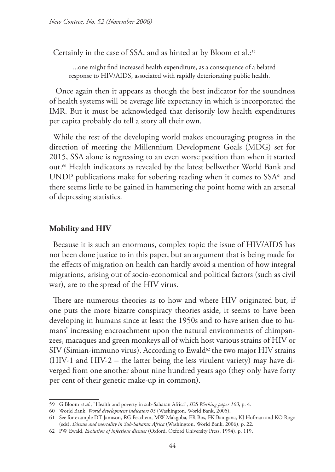Certainly in the case of SSA, and as hinted at by Bloom et al.:<sup>59</sup>

...one might find increased health expenditure, as a consequence of a belated response to HIV/AIDS, associated with rapidly deteriorating public health.

 Once again then it appears as though the best indicator for the soundness of health systems will be average life expectancy in which is incorporated the IMR. But it must be acknowledged that derisorily low health expenditures per capita probably do tell a story all their own.

While the rest of the developing world makes encouraging progress in the direction of meeting the Millennium Development Goals (MDG) set for 2015, SSA alone is regressing to an even worse position than when it started out.60 Health indicators as revealed by the latest bellwether World Bank and UNDP publications make for sobering reading when it comes to  $SSA<sup>61</sup>$  and there seems little to be gained in hammering the point home with an arsenal of depressing statistics.

### **Mobility and HIV**

Because it is such an enormous, complex topic the issue of HIV/AIDS has not been done justice to in this paper, but an argument that is being made for the effects of migration on health can hardly avoid a mention of how integral migrations, arising out of socio-economical and political factors (such as civil war), are to the spread of the HIV virus.

There are numerous theories as to how and where HIV originated but, if one puts the more bizarre conspiracy theories aside, it seems to have been developing in humans since at least the 1950s and to have arisen due to humans' increasing encroachment upon the natural environments of chimpanzees, macaques and green monkeys all of which host various strains of HIV or SIV (Simian-immuno virus). According to Ewald<sup>62</sup> the two major HIV strains (HIV-1 and HIV-2 – the latter being the less virulent variety) may have diverged from one another about nine hundred years ago (they only have forty per cent of their genetic make-up in common).

<sup>59</sup> G Bloom *et al.*, "Health and poverty in sub-Saharan Africa", *IDS Working paper 103*, p. 4.

<sup>60</sup> World Bank, *World development indicators 05* (Washington, World Bank, 2005).

<sup>61</sup> See for example DT Jamison, RG Feachem, MW Makgoba, ER Bos, FK Baingana, KJ Hofman and KO Rogo (eds), *Disease and mortality in Sub-Saharan Africa* (Washington, World Bank, 2006), p. 22.

<sup>62</sup> PW Ewald, *Evolution of infectious diseases* (Oxford, Oxford University Press, 1994), p. 119.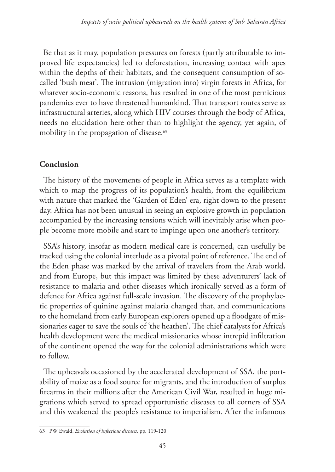Be that as it may, population pressures on forests (partly attributable to improved life expectancies) led to deforestation, increasing contact with apes within the depths of their habitats, and the consequent consumption of socalled 'bush meat'. The intrusion (migration into) virgin forests in Africa, for whatever socio-economic reasons, has resulted in one of the most pernicious pandemics ever to have threatened humankind. That transport routes serve as infrastructural arteries, along which HIV courses through the body of Africa, needs no elucidation here other than to highlight the agency, yet again, of mobility in the propagation of disease.<sup>63</sup>

## **Conclusion**

The history of the movements of people in Africa serves as a template with which to map the progress of its population's health, from the equilibrium with nature that marked the 'Garden of Eden' era, right down to the present day. Africa has not been unusual in seeing an explosive growth in population accompanied by the increasing tensions which will inevitably arise when people become more mobile and start to impinge upon one another's territory.

SSA's history, insofar as modern medical care is concerned, can usefully be tracked using the colonial interlude as a pivotal point of reference. The end of the Eden phase was marked by the arrival of travelers from the Arab world, and from Europe, but this impact was limited by these adventurers' lack of resistance to malaria and other diseases which ironically served as a form of defence for Africa against full-scale invasion. The discovery of the prophylactic properties of quinine against malaria changed that, and communications to the homeland from early European explorers opened up a floodgate of missionaries eager to save the souls of 'the heathen'. The chief catalysts for Africa's health development were the medical missionaries whose intrepid infiltration of the continent opened the way for the colonial administrations which were to follow.

The upheavals occasioned by the accelerated development of SSA, the portability of maize as a food source for migrants, and the introduction of surplus firearms in their millions after the American Civil War, resulted in huge migrations which served to spread opportunistic diseases to all corners of SSA and this weakened the people's resistance to imperialism. After the infamous

<sup>63</sup> PW Ewald, *Evolution of infectious diseases*, pp. 119-120.